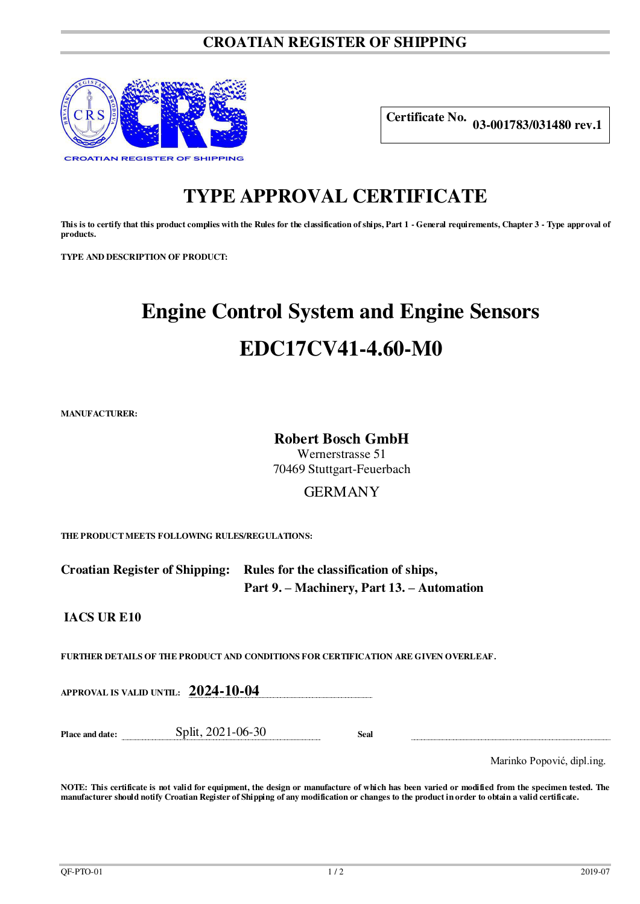# **CROATIAN REGISTER OF SHIPPING**



**Certificate No. 03-001783/031480 rev.1**

# **TYPE APPROVAL CERTIFICATE**

**This is to certify that this product complies with the Rules for the classification of ships, Part 1 - General requirements, Chapter 3 - Type approval of products.**

**TYPE AND DESCRIPTION OF PRODUCT:** 

# **Engine Control System and Engine Sensors EDC17CV41-4.60-M0**

**MANUFACTURER:**

### **Robert Bosch GmbH**

Wernerstrasse 51 70469 Stuttgart-Feuerbach

## GERMANY

**THE PRODUCT MEETS FOLLOWING RULES/REGULATIONS:**

**Croatian Register of Shipping: Rules for the classification of ships, Part 9. – Machinery, Part 13. – Automation** 

**IACS UR E10**

**FURTHER DETAILS OF THE PRODUCT AND CONDITIONS FOR CERTIFICATION ARE GIVEN OVERLEAF.**

**APPROVAL IS VALID UNTIL: 2024-10-04**

**Place and date:** Split, 2021-06-30 **Seal** 

Marinko Popović, dipl.ing.

**NOTE: This certificate is not valid for equipment, the design or manufacture of which has been varied or modified from the specimen tested. The manufacturer should notify Croatian Register of Shipping of any modification or changes to the product in order to obtain a valid certificate.**